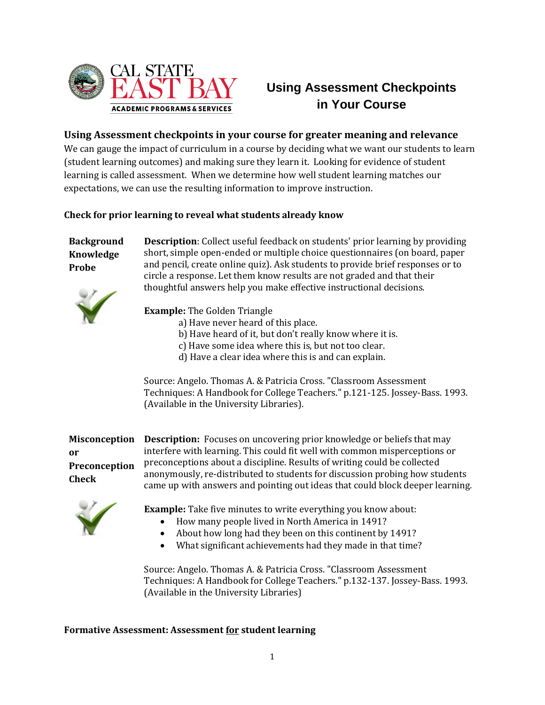

# **Using Assessment Checkpoints in Your Course**

# **Using Assessment checkpoints in your course for greater meaning and relevance**

We can gauge the impact of curriculum in a course by deciding what we want our students to learn (student learning outcomes) and making sure they learn it. Looking for evidence of student learning is called assessment. When we determine how well student learning matches our expectations, we can use the resulting information to improve instruction.

## **Check for prior learning to reveal what students already know**

# **Background Knowledge Probe**

**Description**: Collect useful feedback on students' prior learning by providing short, simple open-ended or multiple choice questionnaires (on board, paper and pencil, create online quiz). Ask students to provide brief responses or to circle a response. Let them know results are not graded and that their thoughtful answers help you make effective instructional decisions.



**Example:** The Golden Triangle

- a) Have never heard of this place.
- b) Have heard of it, but don't really know where it is.
- c) Have some idea where this is, but not too clear.
- d) Have a clear idea where this is and can explain.

Source: Angelo. Thomas A. & Patricia Cross. "Classroom Assessment Techniques: A Handbook for College Teachers." p.121-125. Jossey-Bass. 1993. (Available in the University Libraries).

**Misconception or Preconception Check**

**Description:** Focuses on uncovering prior knowledge or beliefs that may interfere with learning. This could fit well with common misperceptions or preconceptions about a discipline. Results of writing could be collected anonymously, re-distributed to students for discussion probing how students came up with answers and pointing out ideas that could block deeper learning.



- **Example:** Take five minutes to write everything you know about:
	- How many people lived in North America in 1491?
	- About how long had they been on this continent by 1491?
	- What significant achievements had they made in that time?

Source: Angelo. Thomas A. & Patricia Cross. "Classroom Assessment Techniques: A Handbook for College Teachers." p.132-137. Jossey-Bass. 1993. (Available in the University Libraries)

### **Formative Assessment: Assessment for student learning**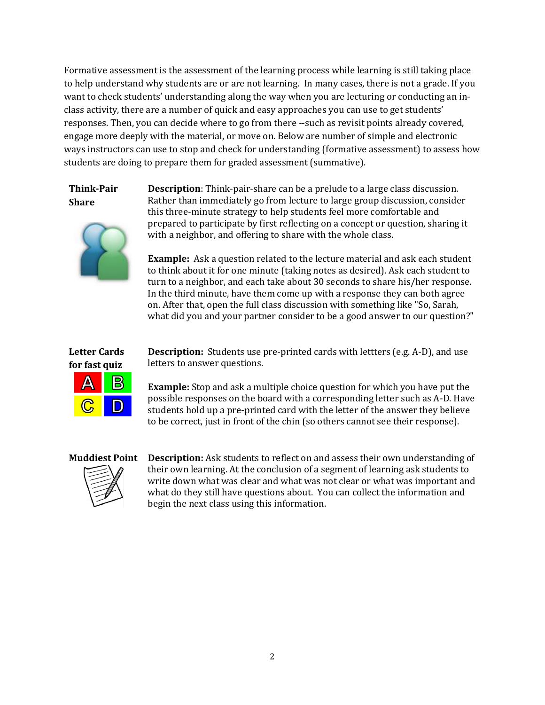Formative assessment is the assessment of the learning process while learning is still taking place to help understand why students are or are not learning. In many cases, there is not a grade. If you want to check students' understanding along the way when you are lecturing or conducting an inclass activity, there are a number of quick and easy approaches you can use to get students' responses. Then, you can decide where to go from there --such as revisit points already covered, engage more deeply with the material, or move on. Below are number of simple and electronic ways instructors can use to stop and check for understanding (formative assessment) to assess how students are doing to prepare them for graded assessment (summative).

# **Think-Pair Share**

**Description**: Think-pair-share can be a prelude to a large class discussion. Rather than immediately go from lecture to large group discussion, consider this three-minute strategy to help students feel more comfortable and prepared to participate by first reflecting on a concept or question, sharing it with a neighbor, and offering to share with the whole class.

**Example:** Ask a question related to the lecture material and ask each student to think about it for one minute (taking notes as desired). Ask each student to turn to a neighbor, and each take about 30 seconds to share his/her response. In the third minute, have them come up with a response they can both agree on. After that, open the full class discussion with something like "So, Sarah, what did you and your partner consider to be a good answer to our question?"

## **Letter Cards for fast quiz**



**Description:** Students use pre-printed cards with lettters (e.g. A-D), and use letters to answer questions.

**Example:** Stop and ask a multiple choice question for which you have put the possible responses on the board with a corresponding letter such as A-D. Have students hold up a pre-printed card with the letter of the answer they believe to be correct, just in front of the chin (so others cannot see their response).



**Muddiest Point Description:** Ask students to reflect on and assess their own understanding of their own learning. At the conclusion of a segment of learning ask students to write down what was clear and what was not clear or what was important and what do they still have questions about. You can collect the information and begin the next class using this information.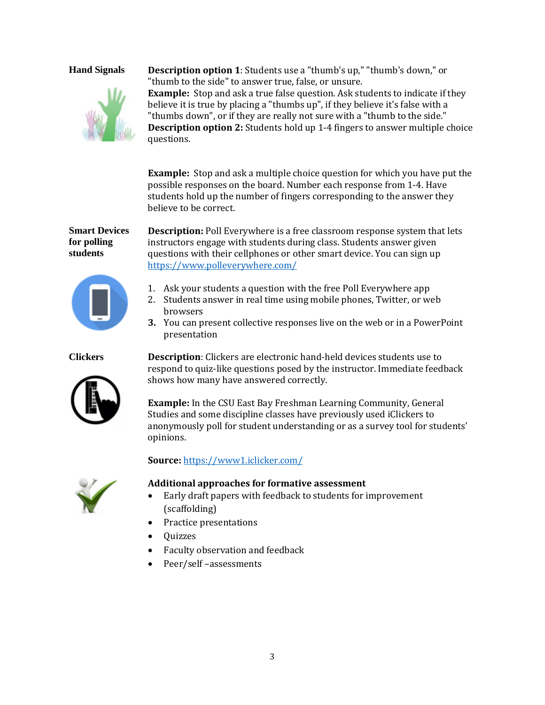

**Hand Signals Description option 1**: Students use a "thumb's up," "thumb's down," or "thumb to the side" to answer true, false, or unsure. **Example:** Stop and ask a true false question. Ask students to indicate if they believe it is true by placing a "thumbs up", if they believe it's false with a "thumbs down", or if they are really not sure with a "thumb to the side." **Description option 2:** Students hold up 1-4 fingers to answer multiple choice questions.

> **Example:** Stop and ask a multiple choice question for which you have put the possible responses on the board. Number each response from 1-4. Have students hold up the number of fingers corresponding to the answer they believe to be correct.

### **Smart Devices for polling students**



**Description:** Poll Everywhere is a free classroom response system that lets instructors engage with students during class. Students answer given questions with their cellphones or other smart device. You can sign up <https://www.polleverywhere.com/>

- 1. Ask your students a question with the free Poll Everywhere app
- 2. Students answer in real time using mobile phones, Twitter, or web browsers
- **3.** You can present collective responses live on the web or in a PowerPoint presentation



**Clickers Description**: Clickers are electronic hand-held devices students use to respond to quiz-like questions posed by the instructor. Immediate feedback shows how many have answered correctly.

> **Example:** In the CSU East Bay Freshman Learning Community, General Studies and some discipline classes have previously used iClickers to anonymously poll for student understanding or as a survey tool for students' opinions.

### **Source:** <https://www1.iclicker.com/>



### **Additional approaches for formative assessment**

- Early draft papers with feedback to students for improvement (scaffolding)
- Practice presentations
- Quizzes
- Faculty observation and feedback
- Peer/self –assessments